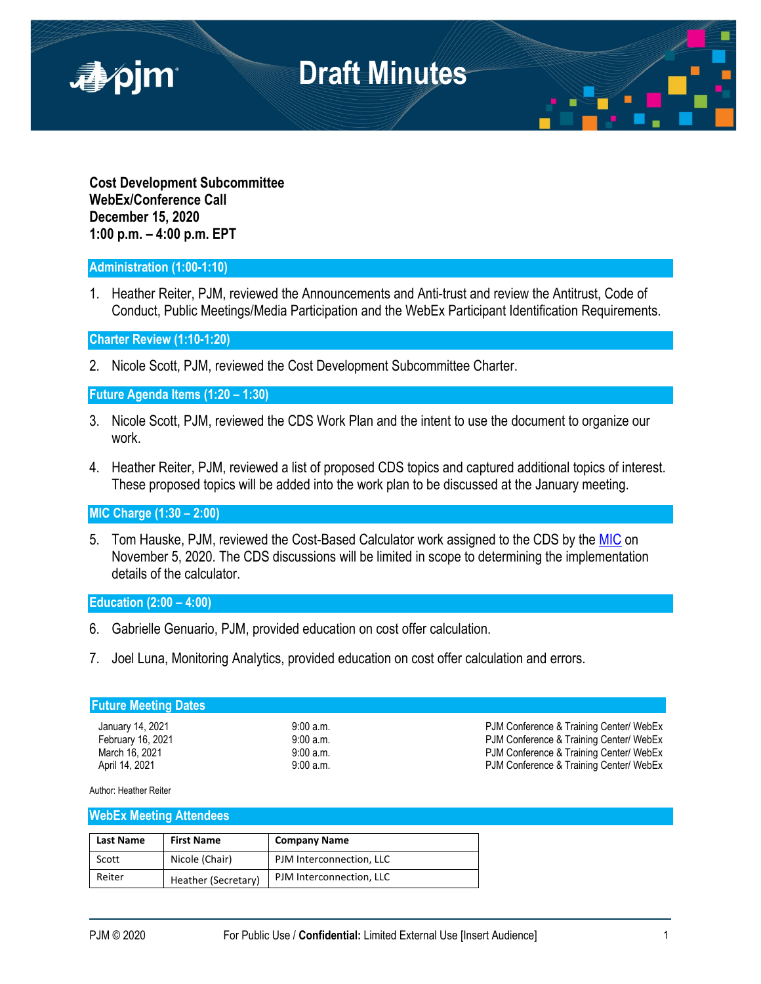

**Cost Development Subcommittee WebEx/Conference Call December 15, 2020 1:00 p.m. – 4:00 p.m. EPT**

### **Administration (1:00-1:10)**

1. Heather Reiter, PJM, reviewed the Announcements and Anti-trust and review the Antitrust, Code of Conduct, Public Meetings/Media Participation and the WebEx Participant Identification Requirements.

**Charter Review (1:10-1:20)**

2. Nicole Scott, PJM, reviewed the Cost Development Subcommittee Charter.

**Future Agenda Items (1:20 – 1:30)**

- 3. Nicole Scott, PJM, reviewed the CDS Work Plan and the intent to use the document to organize our work.
- 4. Heather Reiter, PJM, reviewed a list of proposed CDS topics and captured additional topics of interest. These proposed topics will be added into the work plan to be discussed at the January meeting.

**MIC Charge (1:30 – 2:00)** 

5. Tom Hauske, PJM, reviewed the Cost-Based Calculator work assigned to the CDS by the [MIC](https://pjm.com/-/media/committees-groups/committees/mic/2020/20201202/20201202-draft-minutes-mic-20201105.ashx) on November 5, 2020. The CDS discussions will be limited in scope to determining the implementation details of the calculator.

### **Education (2:00 – 4:00)**

- 6. Gabrielle Genuario, PJM, provided education on cost offer calculation.
- 7. Joel Luna, Monitoring Analytics, provided education on cost offer calculation and errors.

#### **Future Meeting Dates**

January 14, 2021 9:00 a.m. PJM Conference & Training Center/ WebEx February 16, 2021 **19:00 a.m.** 9:00 a.m. PJM Conference & Training Center/ WebEx<br>March 16, 2021 **PJM Conference & Training Center/ WebEx** March 16, 2021 9:00 a.m. PJM Conference & Training Center/ WebEx PJM Conference & Training Center/ WebEx

Author: Heather Reiter

#### **WebEx Meeting Attendees**

| <b>Last Name</b> | <b>First Name</b>   | <b>Company Name</b>      |
|------------------|---------------------|--------------------------|
| Scott            | Nicole (Chair)      | PJM Interconnection, LLC |
| Reiter           | Heather (Secretary) | PJM Interconnection, LLC |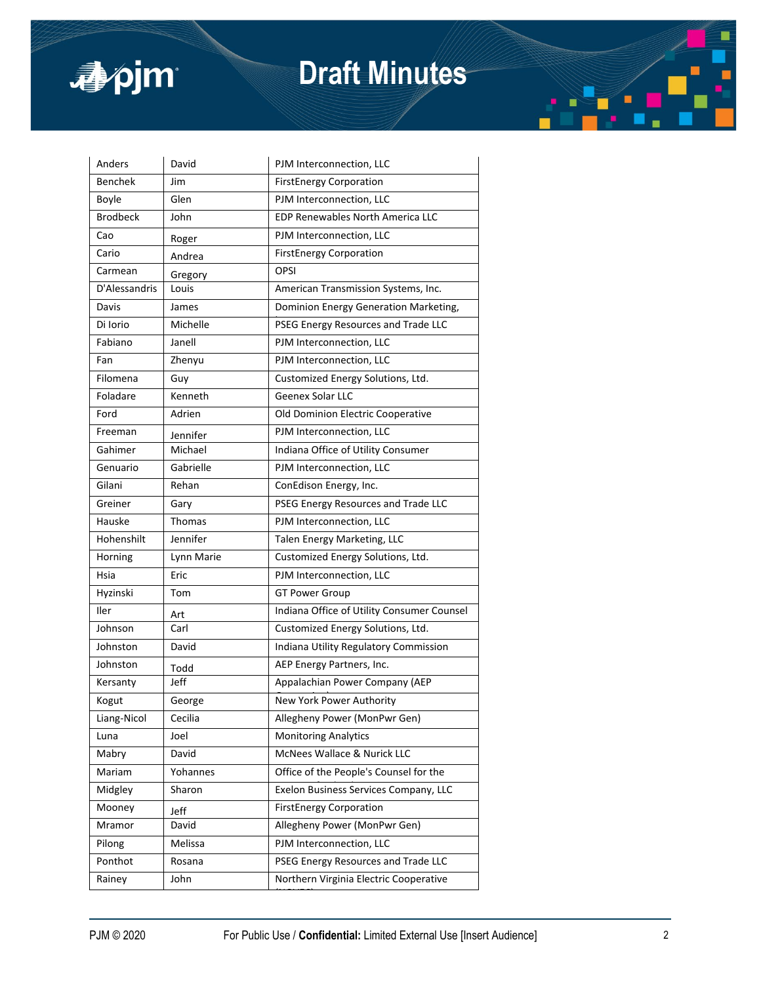

# **Draft Minutes**

| <b>Benchek</b><br>Jim<br><b>FirstEnergy Corporation</b><br>Boyle<br>Glen<br>PJM Interconnection, LLC<br><b>Brodbeck</b><br><b>EDP Renewables North America LLC</b><br>John<br>Cao<br>PJM Interconnection, LLC<br>Roger<br>Cario<br><b>FirstEnergy Corporation</b><br>Andrea<br><b>OPSI</b><br>Carmean<br>Gregory<br>D'Alessandris<br>American Transmission Systems, Inc.<br>Louis<br>Davis<br>James<br>Dominion Energy Generation Marketing,<br>Di Iorio<br>Michelle<br>PSEG Energy Resources and Trade LLC<br>Fabiano<br>Janell<br>PJM Interconnection, LLC<br>Fan<br>Zhenyu<br>PJM Interconnection, LLC<br>Filomena<br>Customized Energy Solutions, Ltd.<br>Guy<br>Kenneth<br><b>Geenex Solar LLC</b><br>Foladare<br>Ford<br>Adrien<br>Old Dominion Electric Cooperative<br>Freeman<br>PJM Interconnection, LLC<br>Jennifer<br>Michael<br>Indiana Office of Utility Consumer<br>Gahimer<br>Gabrielle<br>Genuario<br>PJM Interconnection, LLC<br>Gilani<br>Rehan<br>ConEdison Energy, Inc.<br>Greiner<br>PSEG Energy Resources and Trade LLC<br>Gary<br>Hauske<br>Thomas<br>PJM Interconnection, LLC<br>Jennifer<br>Hohenshilt<br>Talen Energy Marketing, LLC<br>Customized Energy Solutions, Ltd.<br>Horning<br>Lynn Marie<br>Eric<br>PJM Interconnection, LLC<br>Hsia<br>Hyzinski<br><b>GT Power Group</b><br>Tom<br>Indiana Office of Utility Consumer Counsel<br>Iler<br>Art<br>Johnson<br>Carl<br>Customized Energy Solutions, Ltd.<br>David<br>Johnston<br>Indiana Utility Regulatory Commission<br>Johnston<br>AEP Energy Partners, Inc.<br>Todd<br>Jeff<br>Kersanty<br>Appalachian Power Company (AEP<br>Kogut<br>George<br>New York Power Authority<br>Liang-Nicol<br>Cecilia<br>Allegheny Power (MonPwr Gen)<br>Joel<br><b>Monitoring Analytics</b><br>Luna<br>McNees Wallace & Nurick LLC<br>David<br>Mabry<br>Yohannes<br>Office of the People's Counsel for the<br>Mariam<br>Midgley<br>Sharon<br>Exelon Business Services Company, LLC<br><b>FirstEnergy Corporation</b><br>Mooney<br>Jeff<br>Mramor<br>Allegheny Power (MonPwr Gen)<br>David<br>PJM Interconnection, LLC<br>Pilong<br>Melissa<br>Ponthot<br>PSEG Energy Resources and Trade LLC<br>Rosana<br>Northern Virginia Electric Cooperative<br>Rainey<br>John | Anders | David | PJM Interconnection, LLC |
|---------------------------------------------------------------------------------------------------------------------------------------------------------------------------------------------------------------------------------------------------------------------------------------------------------------------------------------------------------------------------------------------------------------------------------------------------------------------------------------------------------------------------------------------------------------------------------------------------------------------------------------------------------------------------------------------------------------------------------------------------------------------------------------------------------------------------------------------------------------------------------------------------------------------------------------------------------------------------------------------------------------------------------------------------------------------------------------------------------------------------------------------------------------------------------------------------------------------------------------------------------------------------------------------------------------------------------------------------------------------------------------------------------------------------------------------------------------------------------------------------------------------------------------------------------------------------------------------------------------------------------------------------------------------------------------------------------------------------------------------------------------------------------------------------------------------------------------------------------------------------------------------------------------------------------------------------------------------------------------------------------------------------------------------------------------------------------------------------------------------------------------------------------------------------------------------------------------------------------------|--------|-------|--------------------------|
|                                                                                                                                                                                                                                                                                                                                                                                                                                                                                                                                                                                                                                                                                                                                                                                                                                                                                                                                                                                                                                                                                                                                                                                                                                                                                                                                                                                                                                                                                                                                                                                                                                                                                                                                                                                                                                                                                                                                                                                                                                                                                                                                                                                                                                       |        |       |                          |
|                                                                                                                                                                                                                                                                                                                                                                                                                                                                                                                                                                                                                                                                                                                                                                                                                                                                                                                                                                                                                                                                                                                                                                                                                                                                                                                                                                                                                                                                                                                                                                                                                                                                                                                                                                                                                                                                                                                                                                                                                                                                                                                                                                                                                                       |        |       |                          |
|                                                                                                                                                                                                                                                                                                                                                                                                                                                                                                                                                                                                                                                                                                                                                                                                                                                                                                                                                                                                                                                                                                                                                                                                                                                                                                                                                                                                                                                                                                                                                                                                                                                                                                                                                                                                                                                                                                                                                                                                                                                                                                                                                                                                                                       |        |       |                          |
|                                                                                                                                                                                                                                                                                                                                                                                                                                                                                                                                                                                                                                                                                                                                                                                                                                                                                                                                                                                                                                                                                                                                                                                                                                                                                                                                                                                                                                                                                                                                                                                                                                                                                                                                                                                                                                                                                                                                                                                                                                                                                                                                                                                                                                       |        |       |                          |
|                                                                                                                                                                                                                                                                                                                                                                                                                                                                                                                                                                                                                                                                                                                                                                                                                                                                                                                                                                                                                                                                                                                                                                                                                                                                                                                                                                                                                                                                                                                                                                                                                                                                                                                                                                                                                                                                                                                                                                                                                                                                                                                                                                                                                                       |        |       |                          |
|                                                                                                                                                                                                                                                                                                                                                                                                                                                                                                                                                                                                                                                                                                                                                                                                                                                                                                                                                                                                                                                                                                                                                                                                                                                                                                                                                                                                                                                                                                                                                                                                                                                                                                                                                                                                                                                                                                                                                                                                                                                                                                                                                                                                                                       |        |       |                          |
|                                                                                                                                                                                                                                                                                                                                                                                                                                                                                                                                                                                                                                                                                                                                                                                                                                                                                                                                                                                                                                                                                                                                                                                                                                                                                                                                                                                                                                                                                                                                                                                                                                                                                                                                                                                                                                                                                                                                                                                                                                                                                                                                                                                                                                       |        |       |                          |
|                                                                                                                                                                                                                                                                                                                                                                                                                                                                                                                                                                                                                                                                                                                                                                                                                                                                                                                                                                                                                                                                                                                                                                                                                                                                                                                                                                                                                                                                                                                                                                                                                                                                                                                                                                                                                                                                                                                                                                                                                                                                                                                                                                                                                                       |        |       |                          |
|                                                                                                                                                                                                                                                                                                                                                                                                                                                                                                                                                                                                                                                                                                                                                                                                                                                                                                                                                                                                                                                                                                                                                                                                                                                                                                                                                                                                                                                                                                                                                                                                                                                                                                                                                                                                                                                                                                                                                                                                                                                                                                                                                                                                                                       |        |       |                          |
|                                                                                                                                                                                                                                                                                                                                                                                                                                                                                                                                                                                                                                                                                                                                                                                                                                                                                                                                                                                                                                                                                                                                                                                                                                                                                                                                                                                                                                                                                                                                                                                                                                                                                                                                                                                                                                                                                                                                                                                                                                                                                                                                                                                                                                       |        |       |                          |
|                                                                                                                                                                                                                                                                                                                                                                                                                                                                                                                                                                                                                                                                                                                                                                                                                                                                                                                                                                                                                                                                                                                                                                                                                                                                                                                                                                                                                                                                                                                                                                                                                                                                                                                                                                                                                                                                                                                                                                                                                                                                                                                                                                                                                                       |        |       |                          |
|                                                                                                                                                                                                                                                                                                                                                                                                                                                                                                                                                                                                                                                                                                                                                                                                                                                                                                                                                                                                                                                                                                                                                                                                                                                                                                                                                                                                                                                                                                                                                                                                                                                                                                                                                                                                                                                                                                                                                                                                                                                                                                                                                                                                                                       |        |       |                          |
|                                                                                                                                                                                                                                                                                                                                                                                                                                                                                                                                                                                                                                                                                                                                                                                                                                                                                                                                                                                                                                                                                                                                                                                                                                                                                                                                                                                                                                                                                                                                                                                                                                                                                                                                                                                                                                                                                                                                                                                                                                                                                                                                                                                                                                       |        |       |                          |
|                                                                                                                                                                                                                                                                                                                                                                                                                                                                                                                                                                                                                                                                                                                                                                                                                                                                                                                                                                                                                                                                                                                                                                                                                                                                                                                                                                                                                                                                                                                                                                                                                                                                                                                                                                                                                                                                                                                                                                                                                                                                                                                                                                                                                                       |        |       |                          |
|                                                                                                                                                                                                                                                                                                                                                                                                                                                                                                                                                                                                                                                                                                                                                                                                                                                                                                                                                                                                                                                                                                                                                                                                                                                                                                                                                                                                                                                                                                                                                                                                                                                                                                                                                                                                                                                                                                                                                                                                                                                                                                                                                                                                                                       |        |       |                          |
|                                                                                                                                                                                                                                                                                                                                                                                                                                                                                                                                                                                                                                                                                                                                                                                                                                                                                                                                                                                                                                                                                                                                                                                                                                                                                                                                                                                                                                                                                                                                                                                                                                                                                                                                                                                                                                                                                                                                                                                                                                                                                                                                                                                                                                       |        |       |                          |
|                                                                                                                                                                                                                                                                                                                                                                                                                                                                                                                                                                                                                                                                                                                                                                                                                                                                                                                                                                                                                                                                                                                                                                                                                                                                                                                                                                                                                                                                                                                                                                                                                                                                                                                                                                                                                                                                                                                                                                                                                                                                                                                                                                                                                                       |        |       |                          |
|                                                                                                                                                                                                                                                                                                                                                                                                                                                                                                                                                                                                                                                                                                                                                                                                                                                                                                                                                                                                                                                                                                                                                                                                                                                                                                                                                                                                                                                                                                                                                                                                                                                                                                                                                                                                                                                                                                                                                                                                                                                                                                                                                                                                                                       |        |       |                          |
|                                                                                                                                                                                                                                                                                                                                                                                                                                                                                                                                                                                                                                                                                                                                                                                                                                                                                                                                                                                                                                                                                                                                                                                                                                                                                                                                                                                                                                                                                                                                                                                                                                                                                                                                                                                                                                                                                                                                                                                                                                                                                                                                                                                                                                       |        |       |                          |
|                                                                                                                                                                                                                                                                                                                                                                                                                                                                                                                                                                                                                                                                                                                                                                                                                                                                                                                                                                                                                                                                                                                                                                                                                                                                                                                                                                                                                                                                                                                                                                                                                                                                                                                                                                                                                                                                                                                                                                                                                                                                                                                                                                                                                                       |        |       |                          |
|                                                                                                                                                                                                                                                                                                                                                                                                                                                                                                                                                                                                                                                                                                                                                                                                                                                                                                                                                                                                                                                                                                                                                                                                                                                                                                                                                                                                                                                                                                                                                                                                                                                                                                                                                                                                                                                                                                                                                                                                                                                                                                                                                                                                                                       |        |       |                          |
|                                                                                                                                                                                                                                                                                                                                                                                                                                                                                                                                                                                                                                                                                                                                                                                                                                                                                                                                                                                                                                                                                                                                                                                                                                                                                                                                                                                                                                                                                                                                                                                                                                                                                                                                                                                                                                                                                                                                                                                                                                                                                                                                                                                                                                       |        |       |                          |
|                                                                                                                                                                                                                                                                                                                                                                                                                                                                                                                                                                                                                                                                                                                                                                                                                                                                                                                                                                                                                                                                                                                                                                                                                                                                                                                                                                                                                                                                                                                                                                                                                                                                                                                                                                                                                                                                                                                                                                                                                                                                                                                                                                                                                                       |        |       |                          |
|                                                                                                                                                                                                                                                                                                                                                                                                                                                                                                                                                                                                                                                                                                                                                                                                                                                                                                                                                                                                                                                                                                                                                                                                                                                                                                                                                                                                                                                                                                                                                                                                                                                                                                                                                                                                                                                                                                                                                                                                                                                                                                                                                                                                                                       |        |       |                          |
|                                                                                                                                                                                                                                                                                                                                                                                                                                                                                                                                                                                                                                                                                                                                                                                                                                                                                                                                                                                                                                                                                                                                                                                                                                                                                                                                                                                                                                                                                                                                                                                                                                                                                                                                                                                                                                                                                                                                                                                                                                                                                                                                                                                                                                       |        |       |                          |
|                                                                                                                                                                                                                                                                                                                                                                                                                                                                                                                                                                                                                                                                                                                                                                                                                                                                                                                                                                                                                                                                                                                                                                                                                                                                                                                                                                                                                                                                                                                                                                                                                                                                                                                                                                                                                                                                                                                                                                                                                                                                                                                                                                                                                                       |        |       |                          |
|                                                                                                                                                                                                                                                                                                                                                                                                                                                                                                                                                                                                                                                                                                                                                                                                                                                                                                                                                                                                                                                                                                                                                                                                                                                                                                                                                                                                                                                                                                                                                                                                                                                                                                                                                                                                                                                                                                                                                                                                                                                                                                                                                                                                                                       |        |       |                          |
|                                                                                                                                                                                                                                                                                                                                                                                                                                                                                                                                                                                                                                                                                                                                                                                                                                                                                                                                                                                                                                                                                                                                                                                                                                                                                                                                                                                                                                                                                                                                                                                                                                                                                                                                                                                                                                                                                                                                                                                                                                                                                                                                                                                                                                       |        |       |                          |
|                                                                                                                                                                                                                                                                                                                                                                                                                                                                                                                                                                                                                                                                                                                                                                                                                                                                                                                                                                                                                                                                                                                                                                                                                                                                                                                                                                                                                                                                                                                                                                                                                                                                                                                                                                                                                                                                                                                                                                                                                                                                                                                                                                                                                                       |        |       |                          |
|                                                                                                                                                                                                                                                                                                                                                                                                                                                                                                                                                                                                                                                                                                                                                                                                                                                                                                                                                                                                                                                                                                                                                                                                                                                                                                                                                                                                                                                                                                                                                                                                                                                                                                                                                                                                                                                                                                                                                                                                                                                                                                                                                                                                                                       |        |       |                          |
|                                                                                                                                                                                                                                                                                                                                                                                                                                                                                                                                                                                                                                                                                                                                                                                                                                                                                                                                                                                                                                                                                                                                                                                                                                                                                                                                                                                                                                                                                                                                                                                                                                                                                                                                                                                                                                                                                                                                                                                                                                                                                                                                                                                                                                       |        |       |                          |
|                                                                                                                                                                                                                                                                                                                                                                                                                                                                                                                                                                                                                                                                                                                                                                                                                                                                                                                                                                                                                                                                                                                                                                                                                                                                                                                                                                                                                                                                                                                                                                                                                                                                                                                                                                                                                                                                                                                                                                                                                                                                                                                                                                                                                                       |        |       |                          |
|                                                                                                                                                                                                                                                                                                                                                                                                                                                                                                                                                                                                                                                                                                                                                                                                                                                                                                                                                                                                                                                                                                                                                                                                                                                                                                                                                                                                                                                                                                                                                                                                                                                                                                                                                                                                                                                                                                                                                                                                                                                                                                                                                                                                                                       |        |       |                          |
|                                                                                                                                                                                                                                                                                                                                                                                                                                                                                                                                                                                                                                                                                                                                                                                                                                                                                                                                                                                                                                                                                                                                                                                                                                                                                                                                                                                                                                                                                                                                                                                                                                                                                                                                                                                                                                                                                                                                                                                                                                                                                                                                                                                                                                       |        |       |                          |
|                                                                                                                                                                                                                                                                                                                                                                                                                                                                                                                                                                                                                                                                                                                                                                                                                                                                                                                                                                                                                                                                                                                                                                                                                                                                                                                                                                                                                                                                                                                                                                                                                                                                                                                                                                                                                                                                                                                                                                                                                                                                                                                                                                                                                                       |        |       |                          |
|                                                                                                                                                                                                                                                                                                                                                                                                                                                                                                                                                                                                                                                                                                                                                                                                                                                                                                                                                                                                                                                                                                                                                                                                                                                                                                                                                                                                                                                                                                                                                                                                                                                                                                                                                                                                                                                                                                                                                                                                                                                                                                                                                                                                                                       |        |       |                          |
|                                                                                                                                                                                                                                                                                                                                                                                                                                                                                                                                                                                                                                                                                                                                                                                                                                                                                                                                                                                                                                                                                                                                                                                                                                                                                                                                                                                                                                                                                                                                                                                                                                                                                                                                                                                                                                                                                                                                                                                                                                                                                                                                                                                                                                       |        |       |                          |
|                                                                                                                                                                                                                                                                                                                                                                                                                                                                                                                                                                                                                                                                                                                                                                                                                                                                                                                                                                                                                                                                                                                                                                                                                                                                                                                                                                                                                                                                                                                                                                                                                                                                                                                                                                                                                                                                                                                                                                                                                                                                                                                                                                                                                                       |        |       |                          |
|                                                                                                                                                                                                                                                                                                                                                                                                                                                                                                                                                                                                                                                                                                                                                                                                                                                                                                                                                                                                                                                                                                                                                                                                                                                                                                                                                                                                                                                                                                                                                                                                                                                                                                                                                                                                                                                                                                                                                                                                                                                                                                                                                                                                                                       |        |       |                          |
|                                                                                                                                                                                                                                                                                                                                                                                                                                                                                                                                                                                                                                                                                                                                                                                                                                                                                                                                                                                                                                                                                                                                                                                                                                                                                                                                                                                                                                                                                                                                                                                                                                                                                                                                                                                                                                                                                                                                                                                                                                                                                                                                                                                                                                       |        |       |                          |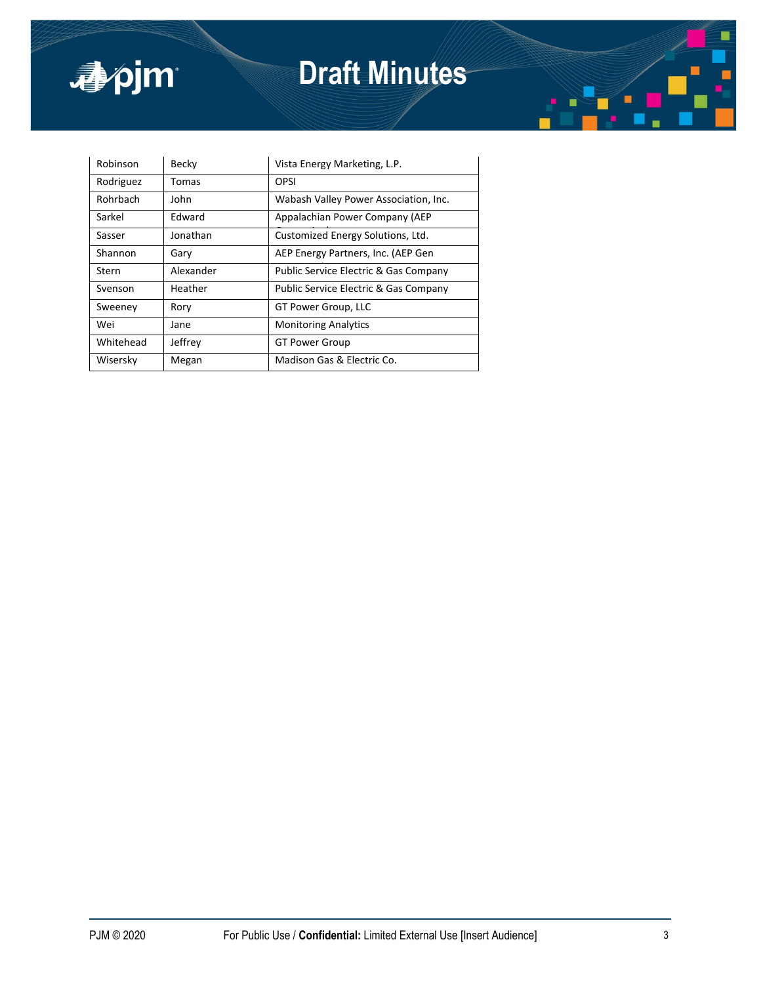

# **Draft Minutes**

| Robinson  | Becky     | Vista Energy Marketing, L.P.                     |
|-----------|-----------|--------------------------------------------------|
| Rodriguez | Tomas     | OPSI                                             |
| Rohrbach  | John      | Wabash Valley Power Association, Inc.            |
| Sarkel    | Edward    | Appalachian Power Company (AEP                   |
| Sasser    | Jonathan  | Customized Energy Solutions, Ltd.                |
| Shannon   | Garv      | AEP Energy Partners, Inc. (AEP Gen               |
| Stern     | Alexander | <b>Public Service Electric &amp; Gas Company</b> |
| Svenson   | Heather   | <b>Public Service Electric &amp; Gas Company</b> |
| Sweeney   | Rory      | GT Power Group, LLC                              |
| Wei       | Jane      | <b>Monitoring Analytics</b>                      |
| Whitehead | Jeffrey   | <b>GT Power Group</b>                            |
| Wisersky  | Megan     | Madison Gas & Electric Co.                       |